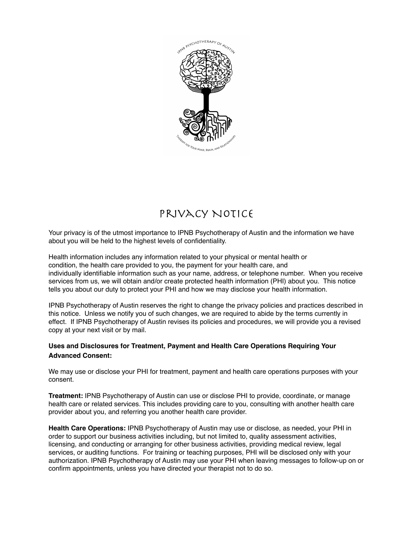

# Privacy Notice

Your privacy is of the utmost importance to IPNB Psychotherapy of Austin and the information we have about you will be held to the highest levels of confidentiality.

Health information includes any information related to your physical or mental health or condition, the health care provided to you, the payment for your health care, and individually identifiable information such as your name, address, or telephone number. When you receive services from us, we will obtain and/or create protected health information (PHI) about you. This notice tells you about our duty to protect your PHI and how we may disclose your health information.

IPNB Psychotherapy of Austin reserves the right to change the privacy policies and practices described in this notice. Unless we notify you of such changes, we are required to abide by the terms currently in effect. If IPNB Psychotherapy of Austin revises its policies and procedures, we will provide you a revised copy at your next visit or by mail.

## **Uses and Disclosures for Treatment, Payment and Health Care Operations Requiring Your Advanced Consent:**

We may use or disclose your PHI for treatment, payment and health care operations purposes with your consent.

**Treatment:** IPNB Psychotherapy of Austin can use or disclose PHI to provide, coordinate, or manage health care or related services. This includes providing care to you, consulting with another health care provider about you, and referring you another health care provider.

**Health Care Operations:** IPNB Psychotherapy of Austin may use or disclose, as needed, your PHI in order to support our business activities including, but not limited to, quality assessment activities, licensing, and conducting or arranging for other business activities, providing medical review, legal services, or auditing functions. For training or teaching purposes, PHI will be disclosed only with your authorization. IPNB Psychotherapy of Austin may use your PHI when leaving messages to follow-up on or confirm appointments, unless you have directed your therapist not to do so.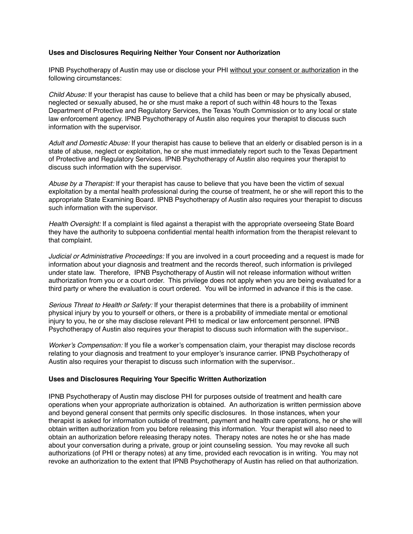#### **Uses and Disclosures Requiring Neither Your Consent nor Authorization**

IPNB Psychotherapy of Austin may use or disclose your PHI without your consent or authorization in the following circumstances:

*Child Abuse:* If your therapist has cause to believe that a child has been or may be physically abused, neglected or sexually abused, he or she must make a report of such within 48 hours to the Texas Department of Protective and Regulatory Services, the Texas Youth Commission or to any local or state law enforcement agency. IPNB Psychotherapy of Austin also requires your therapist to discuss such information with the supervisor.

*Adult and Domestic Abuse:* If your therapist has cause to believe that an elderly or disabled person is in a state of abuse, neglect or exploitation, he or she must immediately report such to the Texas Department of Protective and Regulatory Services. IPNB Psychotherapy of Austin also requires your therapist to discuss such information with the supervisor.

*Abuse by a Therapist:* If your therapist has cause to believe that you have been the victim of sexual exploitation by a mental health professional during the course of treatment, he or she will report this to the appropriate State Examining Board. IPNB Psychotherapy of Austin also requires your therapist to discuss such information with the supervisor.

*Health Oversight:* If a complaint is filed against a therapist with the appropriate overseeing State Board they have the authority to subpoena confidential mental health information from the therapist relevant to that complaint.

*Judicial or Administrative Proceedings:* If you are involved in a court proceeding and a request is made for information about your diagnosis and treatment and the records thereof, such information is privileged under state law. Therefore, IPNB Psychotherapy of Austin will not release information without written authorization from you or a court order. This privilege does not apply when you are being evaluated for a third party or where the evaluation is court ordered. You will be informed in advance if this is the case.

*Serious Threat to Health or Safety:* If your therapist determines that there is a probability of imminent physical injury by you to yourself or others, or there is a probability of immediate mental or emotional injury to you, he or she may disclose relevant PHI to medical or law enforcement personnel. IPNB Psychotherapy of Austin also requires your therapist to discuss such information with the supervisor..

*Worker's Compensation:* If you file a worker's compensation claim, your therapist may disclose records relating to your diagnosis and treatment to your employer's insurance carrier. IPNB Psychotherapy of Austin also requires your therapist to discuss such information with the supervisor..

#### **Uses and Disclosures Requiring Your Specific Written Authorization**

IPNB Psychotherapy of Austin may disclose PHI for purposes outside of treatment and health care operations when your appropriate authorization is obtained. An authorization is written permission above and beyond general consent that permits only specific disclosures. In those instances, when your therapist is asked for information outside of treatment, payment and health care operations, he or she will obtain written authorization from you before releasing this information. Your therapist will also need to obtain an authorization before releasing therapy notes. Therapy notes are notes he or she has made about your conversation during a private, group or joint counseling session. You may revoke all such authorizations (of PHI or therapy notes) at any time, provided each revocation is in writing. You may not revoke an authorization to the extent that IPNB Psychotherapy of Austin has relied on that authorization.